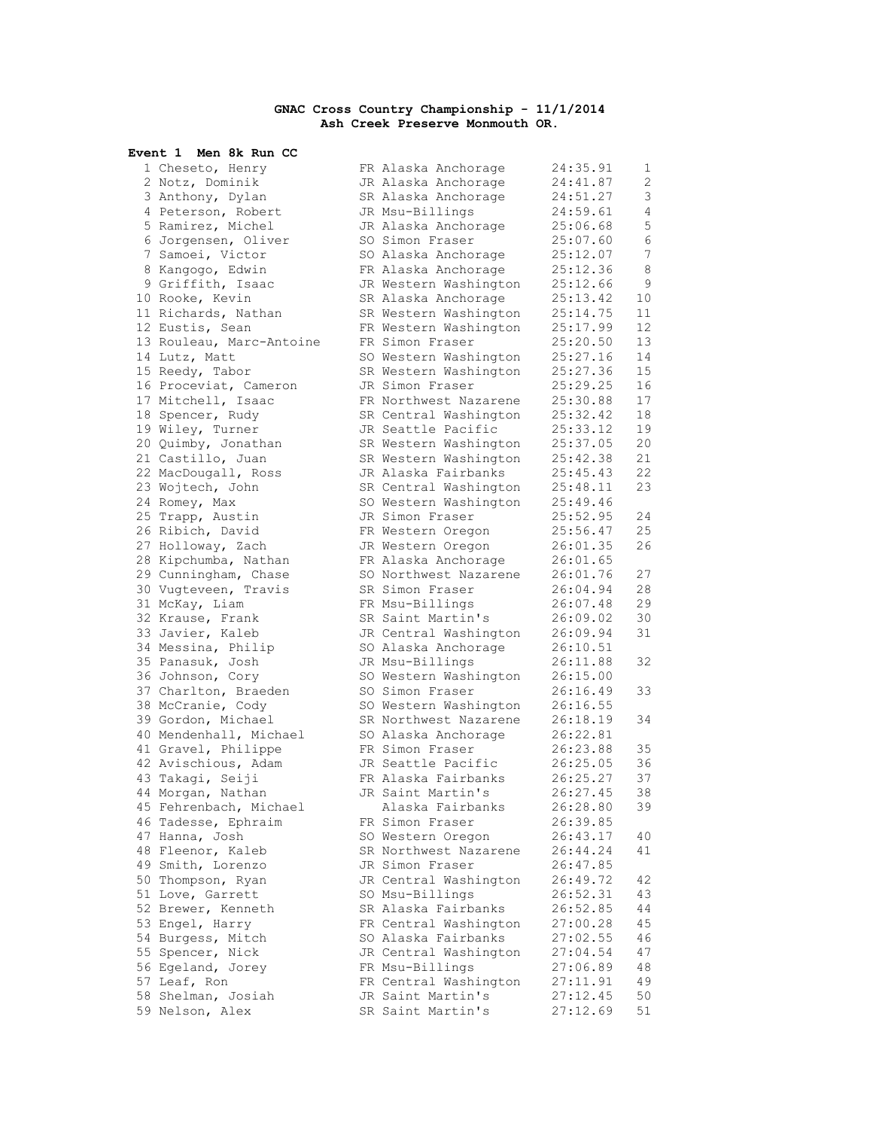## **GNAC Cross Country Championship - 11/1/2014 Ash Creek Preserve Monmouth OR.**

| Event 1 Men 8k Run CC    |                       |          |    |
|--------------------------|-----------------------|----------|----|
| 1 Cheseto, Henry         | FR Alaska Anchorage   | 24:35.91 | 1  |
| 2 Notz, Dominik          | JR Alaska Anchorage   | 24:41.87 | 2  |
| 3 Anthony, Dylan         | SR Alaska Anchorage   | 24:51.27 | 3  |
| 4 Peterson, Robert       | JR Msu-Billings       | 24:59.61 | 4  |
| 5 Ramirez, Michel        | JR Alaska Anchorage   | 25:06.68 | 5  |
| 6 Jorgensen, Oliver      | SO Simon Fraser       | 25:07.60 | 6  |
| 7 Samoei, Victor         | SO Alaska Anchorage   | 25:12.07 | 7  |
| 8 Kangogo, Edwin         | FR Alaska Anchorage   | 25:12.36 | 8  |
| 9 Griffith, Isaac        | JR Western Washington | 25:12.66 | 9  |
| 10 Rooke, Kevin          | SR Alaska Anchorage   | 25:13.42 | 10 |
| 11 Richards, Nathan      | SR Western Washington | 25:14.75 | 11 |
| 12 Eustis, Sean          | FR Western Washington | 25:17.99 | 12 |
| 13 Rouleau, Marc-Antoine | FR Simon Fraser       | 25:20.50 | 13 |
| 14 Lutz, Matt            | SO Western Washington | 25:27.16 | 14 |
| 15 Reedy, Tabor          | SR Western Washington | 25:27.36 | 15 |
| 16 Proceviat, Cameron    | JR Simon Fraser       | 25:29.25 | 16 |
| 17 Mitchell, Isaac       | FR Northwest Nazarene | 25:30.88 | 17 |
| 18 Spencer, Rudy         | SR Central Washington | 25:32.42 | 18 |
| 19 Wiley, Turner         | JR Seattle Pacific    | 25:33.12 | 19 |
| 20 Quimby, Jonathan      | SR Western Washington | 25:37.05 | 20 |
| 21 Castillo, Juan        | SR Western Washington | 25:42.38 | 21 |
| 22 MacDougall, Ross      | JR Alaska Fairbanks   | 25:45.43 | 22 |
| 23 Wojtech, John         | SR Central Washington | 25:48.11 | 23 |
| 24 Romey, Max            | SO Western Washington | 25:49.46 |    |
| 25 Trapp, Austin         | JR Simon Fraser       | 25:52.95 | 24 |
| 26 Ribich, David         | FR Western Oregon     | 25:56.47 | 25 |
| 27 Holloway, Zach        | JR Western Oregon     | 26:01.35 | 26 |
| 28 Kipchumba, Nathan     | FR Alaska Anchorage   | 26:01.65 |    |
| 29 Cunningham, Chase     | SO Northwest Nazarene | 26:01.76 | 27 |
| 30 Vugteveen, Travis     | SR Simon Fraser       | 26:04.94 | 28 |
| 31 McKay, Liam           | FR Msu-Billings       | 26:07.48 | 29 |
| 32 Krause, Frank         | SR Saint Martin's     | 26:09.02 | 30 |
| 33 Javier, Kaleb         | JR Central Washington | 26:09.94 | 31 |
| 34 Messina, Philip       | SO Alaska Anchorage   | 26:10.51 |    |
| 35 Panasuk, Josh         | JR Msu-Billings       | 26:11.88 | 32 |
| 36 Johnson, Cory         | SO Western Washington | 26:15.00 |    |
| 37 Charlton, Braeden     | SO Simon Fraser       | 26:16.49 | 33 |
| 38 McCranie, Cody        | SO Western Washington | 26:16.55 |    |
| 39 Gordon, Michael       | SR Northwest Nazarene | 26:18.19 | 34 |
| 40 Mendenhall, Michael   | SO Alaska Anchorage   | 26:22.81 |    |
| 41 Gravel, Philippe      | FR Simon Fraser       | 26:23.88 | 35 |
| 42 Avischious, Adam      | JR Seattle Pacific    | 26:25.05 | 36 |
| 43 Takagi, Seiji         | FR Alaska Fairbanks   | 26:25.27 | 37 |
| 44 Morgan, Nathan        | JR Saint Martin's     | 26:27.45 | 38 |
| 45 Fehrenbach, Michael   | Alaska Fairbanks      | 26:28.80 | 39 |
| 46 Tadesse, Ephraim      | FR Simon Fraser       | 26:39.85 |    |
| 47 Hanna, Josh           | SO Western Oregon     | 26:43.17 | 40 |
| 48 Fleenor, Kaleb        | SR Northwest Nazarene | 26:44.24 | 41 |
| 49 Smith, Lorenzo        | JR Simon Fraser       | 26:47.85 |    |
| 50 Thompson, Ryan        | JR Central Washington | 26:49.72 | 42 |
| 51 Love, Garrett         | SO Msu-Billings       | 26:52.31 | 43 |
| 52 Brewer, Kenneth       | SR Alaska Fairbanks   | 26:52.85 | 44 |
| 53 Engel, Harry          | FR Central Washington | 27:00.28 | 45 |
| 54 Burgess, Mitch        | SO Alaska Fairbanks   | 27:02.55 | 46 |
| 55 Spencer, Nick         | JR Central Washington | 27:04.54 | 47 |
| 56 Egeland, Jorey        | FR Msu-Billings       | 27:06.89 | 48 |
| 57 Leaf, Ron             | FR Central Washington | 27:11.91 | 49 |
| 58 Shelman, Josiah       | JR Saint Martin's     | 27:12.45 | 50 |
| 59 Nelson, Alex          | SR Saint Martin's     | 27:12.69 | 51 |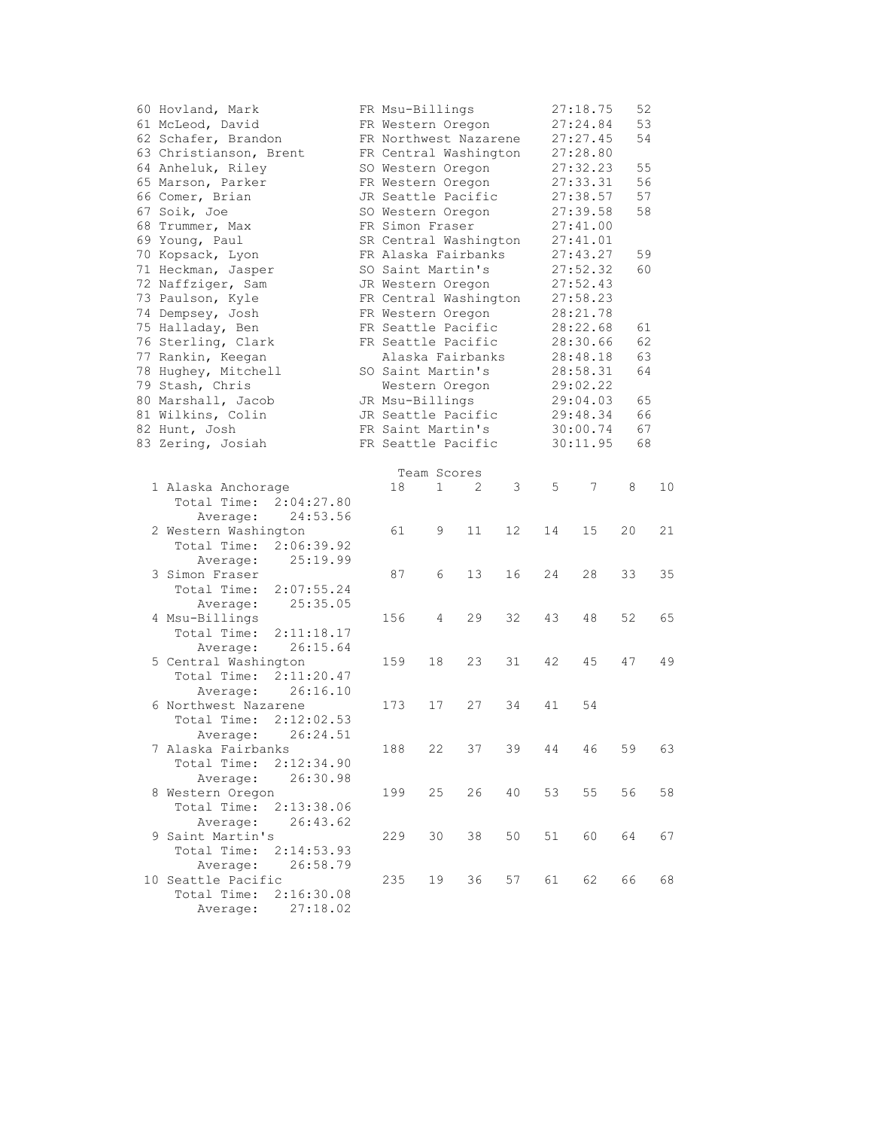| 60 Hovland, Mark                 |  | FR Msu-Billings       |             |    |                   |                | 27:18.75 | 52 |    |  |
|----------------------------------|--|-----------------------|-------------|----|-------------------|----------------|----------|----|----|--|
| 61 McLeod, David                 |  | FR Western Oregon     |             |    |                   |                | 27:24.84 | 53 |    |  |
| 62 Schafer, Brandon              |  | FR Northwest Nazarene |             |    |                   |                | 27:27.45 | 54 |    |  |
| 63 Christianson, Brent           |  | FR Central Washington |             |    |                   |                | 27:28.80 |    |    |  |
| 64 Anheluk, Riley                |  | SO Western Oregon     |             |    |                   |                | 27:32.23 | 55 |    |  |
| 65 Marson, Parker                |  | FR Western Oregon     |             |    |                   |                | 27:33.31 | 56 |    |  |
| 66 Comer, Brian                  |  | JR Seattle Pacific    |             |    |                   |                | 27:38.57 | 57 |    |  |
| 67 Soik, Joe                     |  | SO Western Oregon     |             |    |                   |                | 27:39.58 | 58 |    |  |
| 68 Trummer, Max                  |  | FR Simon Fraser       |             |    |                   |                | 27:41.00 |    |    |  |
| 69 Young, Paul                   |  | SR Central Washington |             |    |                   |                | 27:41.01 |    |    |  |
|                                  |  |                       |             |    |                   |                |          |    |    |  |
| 70 Kopsack, Lyon                 |  | FR Alaska Fairbanks   |             |    |                   |                | 27:43.27 | 59 |    |  |
| 71 Heckman, Jasper               |  | SO Saint Martin's     |             |    |                   |                | 27:52.32 | 60 |    |  |
| 72 Naffziger, Sam                |  | JR Western Oregon     |             |    |                   |                | 27:52.43 |    |    |  |
| 73 Paulson, Kyle                 |  | FR Central Washington |             |    |                   |                | 27:58.23 |    |    |  |
| 74 Dempsey, Josh                 |  | FR Western Oregon     |             |    |                   |                | 28:21.78 |    |    |  |
| 75 Halladay, Ben                 |  | FR Seattle Pacific    |             |    |                   |                | 28:22.68 | 61 |    |  |
| 76 Sterling, Clark               |  | FR Seattle Pacific    |             |    |                   |                | 28:30.66 | 62 |    |  |
| 77 Rankin, Keegan                |  | Alaska Fairbanks      |             |    |                   |                | 28:48.18 | 63 |    |  |
| 78 Hughey, Mitchell              |  | SO Saint Martin's     |             |    |                   |                | 28:58.31 | 64 |    |  |
| 79 Stash, Chris                  |  | Western Oregon        |             |    |                   |                | 29:02.22 |    |    |  |
| 80 Marshall, Jacob               |  | JR Msu-Billings       |             |    |                   |                | 29:04.03 | 65 |    |  |
| 81 Wilkins, Colin                |  | JR Seattle Pacific    |             |    |                   | 66<br>29:48.34 |          |    |    |  |
| 82 Hunt, Josh                    |  | FR Saint Martin's     |             |    |                   |                | 30:00.74 |    | 67 |  |
| 83 Zering, Josiah                |  | FR Seattle Pacific    |             |    |                   |                | 30:11.95 | 68 |    |  |
|                                  |  |                       |             |    |                   |                |          |    |    |  |
|                                  |  |                       | Team Scores |    |                   |                |          |    |    |  |
| 1 Alaska Anchorage               |  | 18                    | 1           | 2  | 3                 | 5              | 7        | 8  | 10 |  |
| Total Time: 2:04:27.80           |  |                       |             |    |                   |                |          |    |    |  |
| 24:53.56<br>Average:             |  |                       |             |    |                   |                |          |    |    |  |
| 2 Western Washington             |  | 61                    | 9           | 11 | $12 \overline{ }$ | 14             | 15       | 20 | 21 |  |
| Total Time: 2:06:39.92           |  |                       |             |    |                   |                |          |    |    |  |
| 25:19.99<br>Average:             |  |                       |             |    |                   |                |          |    |    |  |
| 3 Simon Fraser                   |  | 87                    | 6           | 13 | 16                | 24             | 28       | 33 | 35 |  |
| Total Time:<br>2:07:55.24        |  |                       |             |    |                   |                |          |    |    |  |
| 25:35.05<br>Average:             |  |                       |             |    |                   |                |          |    |    |  |
| 4 Msu-Billings                   |  | 156                   | 4           | 29 | 32                | 43             | 48       | 52 | 65 |  |
| Total Time:<br>2:11:18.17        |  |                       |             |    |                   |                |          |    |    |  |
| 26:15.64<br>Average:             |  |                       |             |    |                   |                |          |    |    |  |
| 5 Central Washington             |  | 159                   | 18          | 23 | 31                | 42             | 45       | 47 | 49 |  |
| Total Time:<br>2:11:20.47        |  |                       |             |    |                   |                |          |    |    |  |
| 26:16.10                         |  |                       |             |    |                   |                |          |    |    |  |
| Average:<br>6 Northwest Nazarene |  |                       |             |    | 34                |                |          |    |    |  |
|                                  |  | 173                   | 17          | 27 |                   | 41             | 54       |    |    |  |
| Total Time:<br>2:12:02.53        |  |                       |             |    |                   |                |          |    |    |  |
| 26:24.51<br>Average:             |  |                       |             |    |                   |                |          |    |    |  |
| 7 Alaska Fairbanks               |  | 188                   | 22          | 37 | 39                | 44             | 46       | 59 | 63 |  |
| Total Time:<br>2:12:34.90        |  |                       |             |    |                   |                |          |    |    |  |
| Average:<br>26:30.98             |  |                       |             |    |                   |                |          |    |    |  |
| 8 Western Oregon                 |  | 199                   | 25          | 26 | 40                | 53             | 55       | 56 | 58 |  |
| Total Time:<br>2:13:38.06        |  |                       |             |    |                   |                |          |    |    |  |
| 26:43.62<br>Average:             |  |                       |             |    |                   |                |          |    |    |  |
| 9 Saint Martin's                 |  | 229                   | 30          | 38 | 50                | 51             | 60       | 64 | 67 |  |
| Total Time:<br>2:14:53.93        |  |                       |             |    |                   |                |          |    |    |  |
| Average:<br>26:58.79             |  |                       |             |    |                   |                |          |    |    |  |
| 10 Seattle Pacific               |  | 235                   | 19          | 36 | 57                | 61             | 62       | 66 | 68 |  |
| Total Time:<br>2:16:30.08        |  |                       |             |    |                   |                |          |    |    |  |
| 27:18.02<br>Average:             |  |                       |             |    |                   |                |          |    |    |  |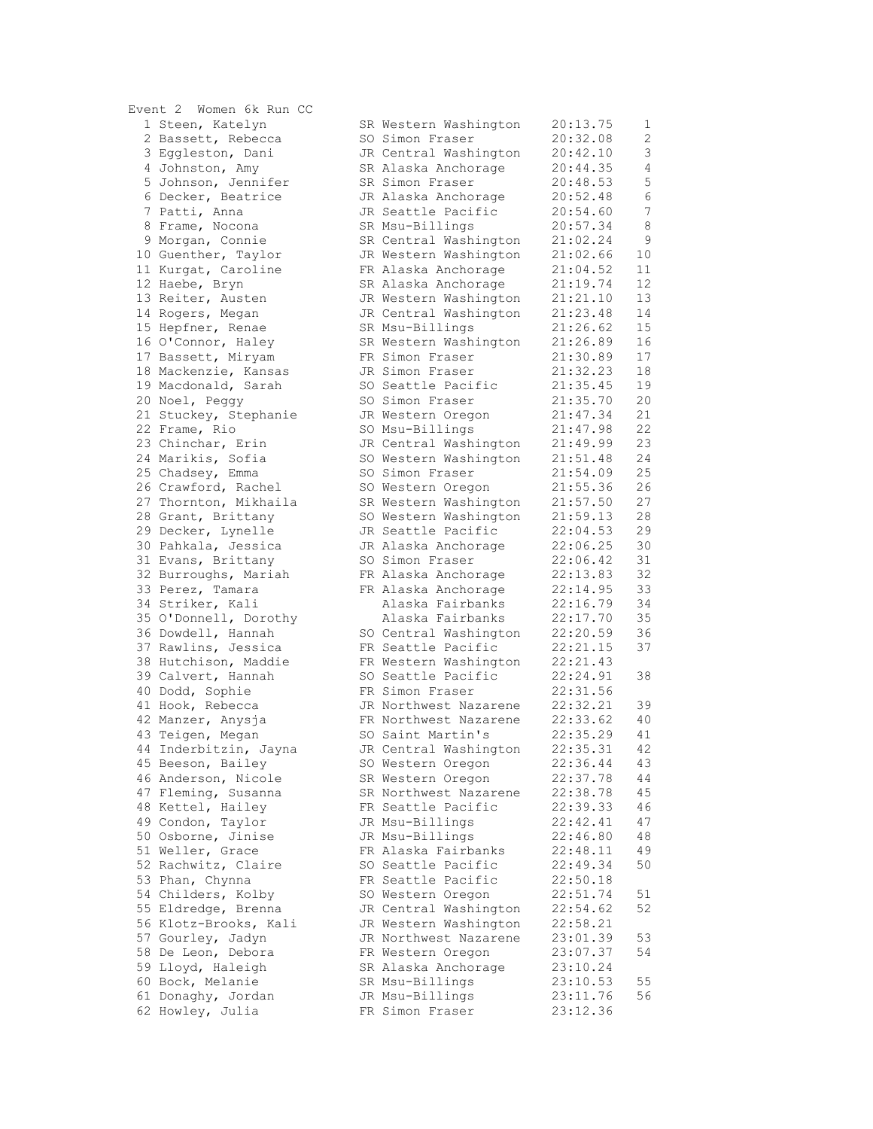| LVENC 7 MOMEN OK KUN CC |                       |          |      |
|-------------------------|-----------------------|----------|------|
| 1 Steen, Katelyn        | SR Western Washington | 20:13.75 | 1    |
| 2 Bassett, Rebecca      | SO Simon Fraser       | 20:32.08 | 2    |
| 3 Eggleston, Dani       | JR Central Washington | 20:42.10 | 3    |
| 4 Johnston, Amy         | SR Alaska Anchorage   | 20:44.35 | 4    |
| 5 Johnson, Jennifer     | SR Simon Fraser       | 20:48.53 | 5    |
| 6 Decker, Beatrice      | JR Alaska Anchorage   | 20:52.48 | 6    |
| 7 Patti, Anna           | JR Seattle Pacific    | 20:54.60 | 7    |
| 8 Frame, Nocona         | SR Msu-Billings       | 20:57.34 | 8    |
| 9 Morgan, Connie        | SR Central Washington | 21:02.24 | 9    |
| 10 Guenther, Taylor     |                       | 21:02.66 |      |
|                         | JR Western Washington |          | 10   |
| 11 Kurgat, Caroline     | FR Alaska Anchorage   | 21:04.52 | 11   |
| 12 Haebe, Bryn          | SR Alaska Anchorage   | 21:19.74 | 12   |
| 13 Reiter, Austen       | JR Western Washington | 21:21.10 | 13   |
| 14 Rogers, Megan        | JR Central Washington | 21:23.48 | 14   |
| 15 Hepfner, Renae       | SR Msu-Billings       | 21:26.62 | 15   |
| 16 O'Connor, Haley      | SR Western Washington | 21:26.89 | 16   |
| 17 Bassett, Miryam      | FR Simon Fraser       | 21:30.89 | 17   |
| 18 Mackenzie, Kansas    | JR Simon Fraser       | 21:32.23 | 18   |
| 19 Macdonald, Sarah     | SO Seattle Pacific    | 21:35.45 | 19   |
| 20 Noel, Peggy          | SO Simon Fraser       | 21:35.70 | $20$ |
| 21 Stuckey, Stephanie   | JR Western Oregon     | 21:47.34 | 21   |
| 22 Frame, Rio           | SO Msu-Billings       | 21:47.98 | 22   |
| 23 Chinchar, Erin       | JR Central Washington | 21:49.99 | 23   |
| 24 Marikis, Sofia       | SO Western Washington | 21:51.48 | 24   |
| 25 Chadsey, Emma        | SO Simon Fraser       | 21:54.09 | 25   |
| 26 Crawford, Rachel     | SO Western Oregon     | 21:55.36 | 26   |
| 27 Thornton, Mikhaila   | SR Western Washington | 21:57.50 | 27   |
| 28 Grant, Brittany      | SO Western Washington | 21:59.13 | 28   |
|                         |                       | 22:04.53 | 29   |
| 29 Decker, Lynelle      | JR Seattle Pacific    |          | 30   |
| 30 Pahkala, Jessica     | JR Alaska Anchorage   | 22:06.25 |      |
| 31 Evans, Brittany      | SO Simon Fraser       | 22:06.42 | 31   |
| 32 Burroughs, Mariah    | FR Alaska Anchorage   | 22:13.83 | 32   |
| 33 Perez, Tamara        | FR Alaska Anchorage   | 22:14.95 | 33   |
| 34 Striker, Kali        | Alaska Fairbanks      | 22:16.79 | 34   |
| 35 O'Donnell, Dorothy   | Alaska Fairbanks      | 22:17.70 | 35   |
| 36 Dowdell, Hannah      | SO Central Washington | 22:20.59 | 36   |
| 37 Rawlins, Jessica     | FR Seattle Pacific    | 22:21.15 | 37   |
| 38 Hutchison, Maddie    | FR Western Washington | 22:21.43 |      |
| 39 Calvert, Hannah      | SO Seattle Pacific    | 22:24.91 | 38   |
| 40 Dodd, Sophie         | FR Simon Fraser       | 22:31.56 |      |
| 41 Hook, Rebecca        | JR Northwest Nazarene | 22:32.21 | 39   |
| 42 Manzer, Anysja       | FR Northwest Nazarene | 22:33.62 | 40   |
| 43 Teigen, Megan        | SO Saint Martin's     | 22:35.29 | 41   |
| 44 Inderbitzin, Jayna   | JR Central Washington | 22:35.31 | 42   |
| 45 Beeson, Bailey       | SO Western Oregon     | 22:36.44 | 43   |
| 46 Anderson, Nicole     | SR Western Oregon     | 22:37.78 | 44   |
| 47 Fleming, Susanna     | SR Northwest Nazarene | 22:38.78 | 45   |
| 48 Kettel, Hailey       | FR Seattle Pacific    | 22:39.33 | 46   |
| 49 Condon, Taylor       | JR Msu-Billings       | 22:42.41 | 47   |
| 50 Osborne, Jinise      | JR Msu-Billings       | 22:46.80 | 48   |
| 51 Weller, Grace        | FR Alaska Fairbanks   | 22:48.11 | 49   |
| 52 Rachwitz, Claire     | SO Seattle Pacific    | 22:49.34 | 50   |
| 53 Phan, Chynna         | FR Seattle Pacific    | 22:50.18 |      |
|                         |                       |          |      |
| 54 Childers, Kolby      | SO Western Oregon     | 22:51.74 | 51   |
| 55 Eldredge, Brenna     | JR Central Washington | 22:54.62 | 52   |
| 56 Klotz-Brooks, Kali   | JR Western Washington | 22:58.21 |      |
| 57 Gourley, Jadyn       | JR Northwest Nazarene | 23:01.39 | 53   |
| 58 De Leon, Debora      | FR Western Oregon     | 23:07.37 | 54   |
| 59 Lloyd, Haleigh       | SR Alaska Anchorage   | 23:10.24 |      |
| 60 Bock, Melanie        | SR Msu-Billings       | 23:10.53 | 55   |
| 61 Donaghy, Jordan      | JR Msu-Billings       | 23:11.76 | 56   |
| 62 Howley, Julia        | FR Simon Fraser       | 23:12.36 |      |